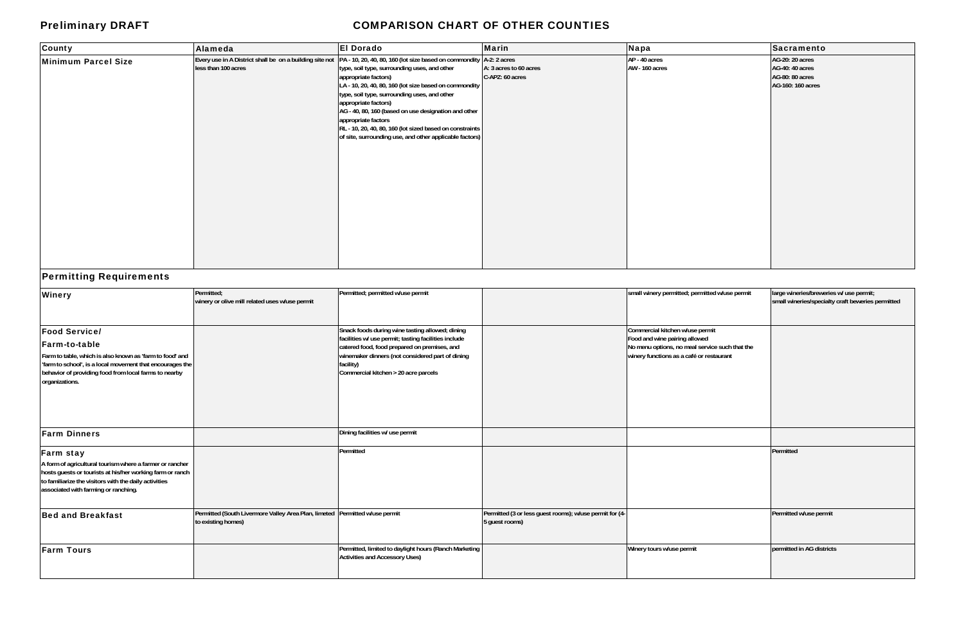# Preliminary DRAFT **COMPARISON CHART OF OTHER COUNTIES**

| <b>Sacramento</b>      |
|------------------------|
| <b>AG-20: 20 acres</b> |
| AG-40: 40 acres        |
| AG-80: 80 acres        |
| AG-160: 160 acres      |
|                        |
|                        |
|                        |
|                        |
|                        |
|                        |
|                        |
|                        |
|                        |
|                        |
|                        |
|                        |
|                        |
|                        |
|                        |
|                        |
|                        |
|                        |
|                        |
|                        |
|                        |

| County              | Alameda             | <b>El Dorado</b>                                                                                                                                                                                                                                                                                                                                                                                                                                                                                                                              | <b>Marin</b>                              | Napa                            | Sacramento                                                                        |
|---------------------|---------------------|-----------------------------------------------------------------------------------------------------------------------------------------------------------------------------------------------------------------------------------------------------------------------------------------------------------------------------------------------------------------------------------------------------------------------------------------------------------------------------------------------------------------------------------------------|-------------------------------------------|---------------------------------|-----------------------------------------------------------------------------------|
| Minimum Parcel Size | less than 100 acres | Every use in A District shall be on a building site not  PA - 10, 20, 40, 80, 160 (lot size based on commondity  A-2: 2 acres<br>type, soil type, surrounding uses, and other<br>appropriate factors)<br>LA - 10, 20, 40, 80, 160 (lot size based on commondity<br>type, soil type, surrounding uses, and other<br>appropriate factors)<br>AG - 40, 80, 160 (based on use designation and other<br>appropriate factors<br>RL - 10, 20, 40, 80, 160 (lot sized based on constraints<br>of site, surrounding use, and other applicable factors) | A: 3 acres to 60 acres<br>C-APZ: 60 acres | AP - 40 acres<br>AW - 160 acres | <b>AG-20: 20 acres</b><br>AG-40: 40 acres<br>AG-80: 80 acres<br>AG-160: 160 acres |

# Permitting Requirements

| <b>Winery</b>                                                                                                                                                                                                                                    | Permitted;                                                                                        | Permitted; permitted w/use permit                                                                                                                                                                                                                                |                                                                           | small winery permitted; permitted w/use permit                                                                                                                 | large wineries/breweries w/ use permit;           |
|--------------------------------------------------------------------------------------------------------------------------------------------------------------------------------------------------------------------------------------------------|---------------------------------------------------------------------------------------------------|------------------------------------------------------------------------------------------------------------------------------------------------------------------------------------------------------------------------------------------------------------------|---------------------------------------------------------------------------|----------------------------------------------------------------------------------------------------------------------------------------------------------------|---------------------------------------------------|
|                                                                                                                                                                                                                                                  | winery or olive mill related uses w/use permit                                                    |                                                                                                                                                                                                                                                                  |                                                                           |                                                                                                                                                                | small wineries/specialty craft beweries permitted |
| <b>Food Service/</b><br><b>Farm-to-table</b><br>Farm to table, which is also known as 'farm to food' and<br>'farm to school', is a local movement that encourages the<br>behavior of providing food from local farms to nearby<br>organizations. |                                                                                                   | Snack foods during wine tasting allowed; dining<br>facilities w/ use permit; tasting facilities include<br>catered food, food prepared on premises, and<br>winemaker dinners (not considered part of dining<br>facility)<br>Commercial kitchen > 20 acre parcels |                                                                           | Commercial kitchen w/use permit<br>Food and wine pairing allowed<br>No menu options, no meal service such that the<br>winery functions as a café or restaurant |                                                   |
| <b>Farm Dinners</b>                                                                                                                                                                                                                              |                                                                                                   | Dining facilities w/ use permit                                                                                                                                                                                                                                  |                                                                           |                                                                                                                                                                |                                                   |
| <b>Farm stay</b><br>A form of agricultural tourism where a farmer or rancher<br>hosts guests or tourists at his/her working farm or ranch<br>to familiarize the visitors with the daily activities<br>associated with farming or ranching.       |                                                                                                   | Permitted                                                                                                                                                                                                                                                        |                                                                           |                                                                                                                                                                | Permitted                                         |
| <b>Bed and Breakfast</b>                                                                                                                                                                                                                         | Permitted (South Livermore Valley Area Plan, limeted Permitted w/use permit<br>to existing homes) |                                                                                                                                                                                                                                                                  | Permitted (3 or less guest rooms); w/use permit for (4-<br>5 guest rooms) |                                                                                                                                                                | Permitted w/use permit                            |
| <b>Farm Tours</b>                                                                                                                                                                                                                                |                                                                                                   | Permitted, limited to daylight hours (Ranch Marketing<br><b>Activities and Accessory Uses)</b>                                                                                                                                                                   |                                                                           | Winery tours w/use permit                                                                                                                                      | permitted in AG districts                         |

| small winery permitted; permitted w/use permit                                                                                                                 | large wineries/breweries w/ use permit;<br>small wineries/specialty craft beweries permitted |
|----------------------------------------------------------------------------------------------------------------------------------------------------------------|----------------------------------------------------------------------------------------------|
| Commercial kitchen w/use permit<br>Food and wine pairing allowed<br>No menu options, no meal service such that the<br>winery functions as a café or restaurant |                                                                                              |
|                                                                                                                                                                |                                                                                              |
|                                                                                                                                                                | Permitted                                                                                    |
|                                                                                                                                                                | Permitted w/use permit                                                                       |
| Winery tours w/use permit                                                                                                                                      | permitted in AG districts                                                                    |